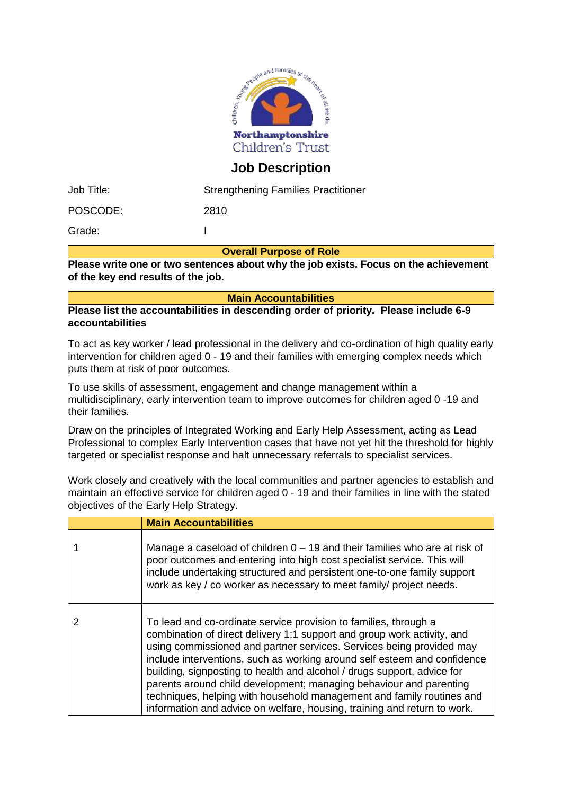

## **Job Description**

| Job Title: | <b>Strengthening Families Practitioner</b> |
|------------|--------------------------------------------|
| POSCODE:   | 2810                                       |
| Grade:     |                                            |

**Overall Purpose of Role**

**Please write one or two sentences about why the job exists. Focus on the achievement of the key end results of the job.** 

**Main Accountabilities**

**Please list the accountabilities in descending order of priority. Please include 6-9 accountabilities**

To act as key worker / lead professional in the delivery and co-ordination of high quality early intervention for children aged 0 - 19 and their families with emerging complex needs which puts them at risk of poor outcomes.

To use skills of assessment, engagement and change management within a multidisciplinary, early intervention team to improve outcomes for children aged 0 -19 and their families.

Draw on the principles of Integrated Working and Early Help Assessment, acting as Lead Professional to complex Early Intervention cases that have not yet hit the threshold for highly targeted or specialist response and halt unnecessary referrals to specialist services.

Work closely and creatively with the local communities and partner agencies to establish and maintain an effective service for children aged 0 - 19 and their families in line with the stated objectives of the Early Help Strategy.

| <b>Main Accountabilities</b>                                                                                                                                                                                                                                                                                                                                                                                                                                                                                                                                                                          |
|-------------------------------------------------------------------------------------------------------------------------------------------------------------------------------------------------------------------------------------------------------------------------------------------------------------------------------------------------------------------------------------------------------------------------------------------------------------------------------------------------------------------------------------------------------------------------------------------------------|
| Manage a caseload of children $0 - 19$ and their families who are at risk of<br>poor outcomes and entering into high cost specialist service. This will<br>include undertaking structured and persistent one-to-one family support<br>work as key / co worker as necessary to meet family/ project needs.                                                                                                                                                                                                                                                                                             |
| To lead and co-ordinate service provision to families, through a<br>combination of direct delivery 1:1 support and group work activity, and<br>using commissioned and partner services. Services being provided may<br>include interventions, such as working around self esteem and confidence<br>building, signposting to health and alcohol / drugs support, advice for<br>parents around child development; managing behaviour and parenting<br>techniques, helping with household management and family routines and<br>information and advice on welfare, housing, training and return to work. |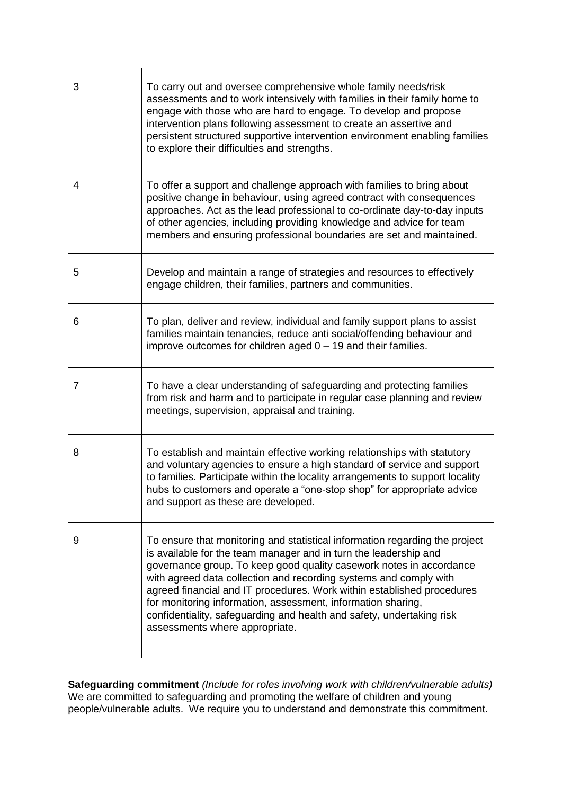| 3 | To carry out and oversee comprehensive whole family needs/risk<br>assessments and to work intensively with families in their family home to<br>engage with those who are hard to engage. To develop and propose<br>intervention plans following assessment to create an assertive and<br>persistent structured supportive intervention environment enabling families<br>to explore their difficulties and strengths.                                                                                                                             |
|---|--------------------------------------------------------------------------------------------------------------------------------------------------------------------------------------------------------------------------------------------------------------------------------------------------------------------------------------------------------------------------------------------------------------------------------------------------------------------------------------------------------------------------------------------------|
| 4 | To offer a support and challenge approach with families to bring about<br>positive change in behaviour, using agreed contract with consequences<br>approaches. Act as the lead professional to co-ordinate day-to-day inputs<br>of other agencies, including providing knowledge and advice for team<br>members and ensuring professional boundaries are set and maintained.                                                                                                                                                                     |
| 5 | Develop and maintain a range of strategies and resources to effectively<br>engage children, their families, partners and communities.                                                                                                                                                                                                                                                                                                                                                                                                            |
| 6 | To plan, deliver and review, individual and family support plans to assist<br>families maintain tenancies, reduce anti social/offending behaviour and<br>improve outcomes for children aged $0 - 19$ and their families.                                                                                                                                                                                                                                                                                                                         |
| 7 | To have a clear understanding of safeguarding and protecting families<br>from risk and harm and to participate in regular case planning and review<br>meetings, supervision, appraisal and training.                                                                                                                                                                                                                                                                                                                                             |
| 8 | To establish and maintain effective working relationships with statutory<br>and voluntary agencies to ensure a high standard of service and support<br>to families. Participate within the locality arrangements to support locality<br>hubs to customers and operate a "one-stop shop" for appropriate advice<br>and support as these are developed.                                                                                                                                                                                            |
| 9 | To ensure that monitoring and statistical information regarding the project<br>is available for the team manager and in turn the leadership and<br>governance group. To keep good quality casework notes in accordance<br>with agreed data collection and recording systems and comply with<br>agreed financial and IT procedures. Work within established procedures<br>for monitoring information, assessment, information sharing,<br>confidentiality, safeguarding and health and safety, undertaking risk<br>assessments where appropriate. |

**Safeguarding commitment** *(Include for roles involving work with children/vulnerable adults)* We are committed to safeguarding and promoting the welfare of children and young people/vulnerable adults. We require you to understand and demonstrate this commitment.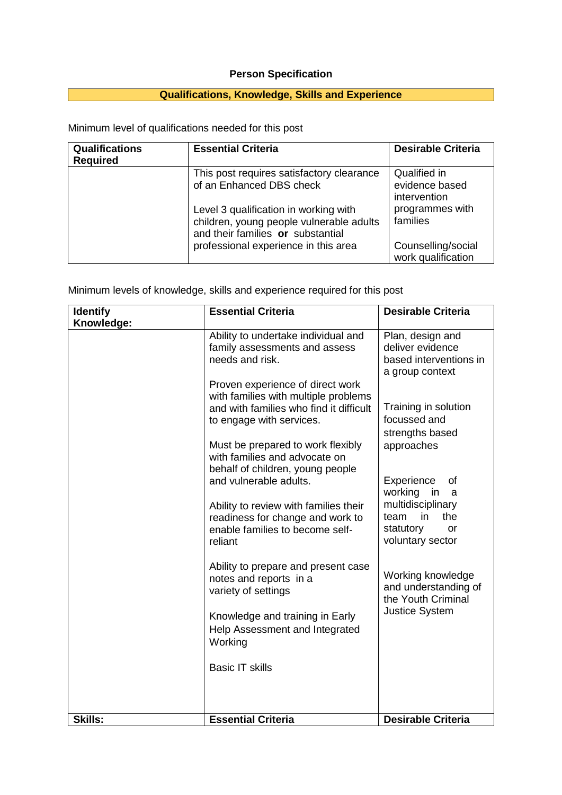## **Person Specification**

## **Qualifications, Knowledge, Skills and Experience**

Minimum level of qualifications needed for this post

| <b>Qualifications</b><br><b>Required</b> | <b>Essential Criteria</b>                                                                                              | <b>Desirable Criteria</b>                      |
|------------------------------------------|------------------------------------------------------------------------------------------------------------------------|------------------------------------------------|
|                                          | This post requires satisfactory clearance<br>of an Enhanced DBS check                                                  | Qualified in<br>evidence based<br>intervention |
|                                          | Level 3 qualification in working with<br>children, young people vulnerable adults<br>and their families or substantial | programmes with<br>families                    |
|                                          | professional experience in this area                                                                                   | Counselling/social<br>work qualification       |

Minimum levels of knowledge, skills and experience required for this post

| <b>Identify</b> | <b>Essential Criteria</b>                                                                                                                       | <b>Desirable Criteria</b>                                                              |
|-----------------|-------------------------------------------------------------------------------------------------------------------------------------------------|----------------------------------------------------------------------------------------|
| Knowledge:      |                                                                                                                                                 |                                                                                        |
|                 | Ability to undertake individual and<br>family assessments and assess<br>needs and risk.                                                         | Plan, design and<br>deliver evidence<br>based interventions in<br>a group context      |
|                 | Proven experience of direct work<br>with families with multiple problems<br>and with families who find it difficult<br>to engage with services. | Training in solution<br>focussed and<br>strengths based                                |
|                 | Must be prepared to work flexibly<br>with families and advocate on<br>behalf of children, young people<br>and vulnerable adults.                | approaches<br>Experience<br>οf                                                         |
|                 | Ability to review with families their<br>readiness for change and work to<br>enable families to become self-                                    | working<br>in<br>a<br>multidisciplinary<br>the<br>team<br>in<br>statutory<br><b>or</b> |
|                 | reliant<br>Ability to prepare and present case                                                                                                  | voluntary sector                                                                       |
|                 | notes and reports in a<br>variety of settings                                                                                                   | Working knowledge<br>and understanding of<br>the Youth Criminal                        |
|                 | Knowledge and training in Early<br>Help Assessment and Integrated<br>Working                                                                    | <b>Justice System</b>                                                                  |
|                 | <b>Basic IT skills</b>                                                                                                                          |                                                                                        |
|                 |                                                                                                                                                 |                                                                                        |
| Skills:         | <b>Essential Criteria</b>                                                                                                                       | <b>Desirable Criteria</b>                                                              |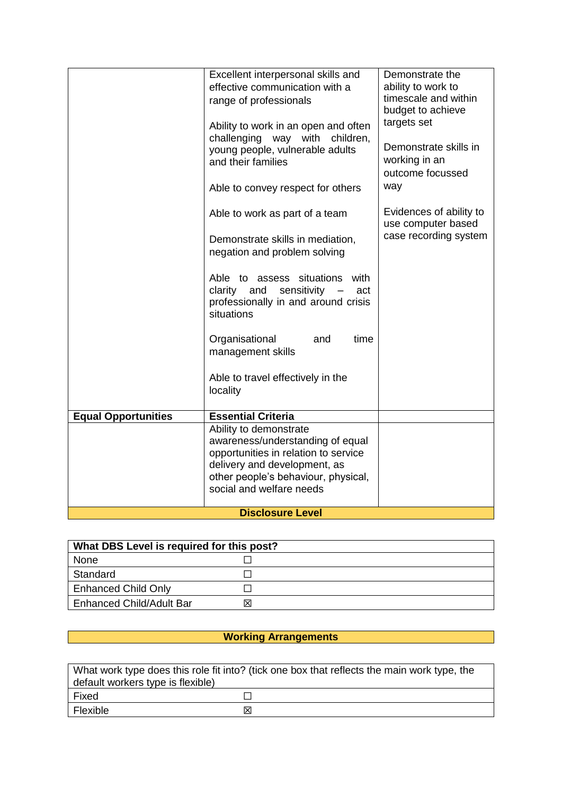|                            | Excellent interpersonal skills and<br>effective communication with a<br>range of professionals<br>Ability to work in an open and often<br>way with<br>challenging<br>children,<br>young people, vulnerable adults<br>and their families | Demonstrate the<br>ability to work to<br>timescale and within<br>budget to achieve<br>targets set<br>Demonstrate skills in<br>working in an<br>outcome focussed |
|----------------------------|-----------------------------------------------------------------------------------------------------------------------------------------------------------------------------------------------------------------------------------------|-----------------------------------------------------------------------------------------------------------------------------------------------------------------|
|                            | Able to convey respect for others                                                                                                                                                                                                       | way                                                                                                                                                             |
|                            | Able to work as part of a team                                                                                                                                                                                                          | Evidences of ability to<br>use computer based                                                                                                                   |
|                            | Demonstrate skills in mediation,<br>negation and problem solving                                                                                                                                                                        | case recording system                                                                                                                                           |
|                            | Able to assess situations<br>with<br>clarity and<br>sensitivity<br>act<br>professionally in and around crisis<br>situations                                                                                                             |                                                                                                                                                                 |
|                            | Organisational<br>and<br>time<br>management skills                                                                                                                                                                                      |                                                                                                                                                                 |
|                            | Able to travel effectively in the<br>locality                                                                                                                                                                                           |                                                                                                                                                                 |
| <b>Equal Opportunities</b> | <b>Essential Criteria</b>                                                                                                                                                                                                               |                                                                                                                                                                 |
|                            | Ability to demonstrate<br>awareness/understanding of equal<br>opportunities in relation to service<br>delivery and development, as<br>other people's behaviour, physical,<br>social and welfare needs                                   |                                                                                                                                                                 |
| <b>Disclosure Level</b>    |                                                                                                                                                                                                                                         |                                                                                                                                                                 |

| What DBS Level is required for this post? |   |
|-------------------------------------------|---|
| None                                      |   |
| Standard                                  |   |
| <b>Enhanced Child Only</b>                |   |
| <b>Enhanced Child/Adult Bar</b>           | X |

## **Working Arrangements**

| What work type does this role fit into? (tick one box that reflects the main work type, the |     |
|---------------------------------------------------------------------------------------------|-----|
| default workers type is flexible)                                                           |     |
| Fixed                                                                                       |     |
| Flexible                                                                                    | Ι×Ι |